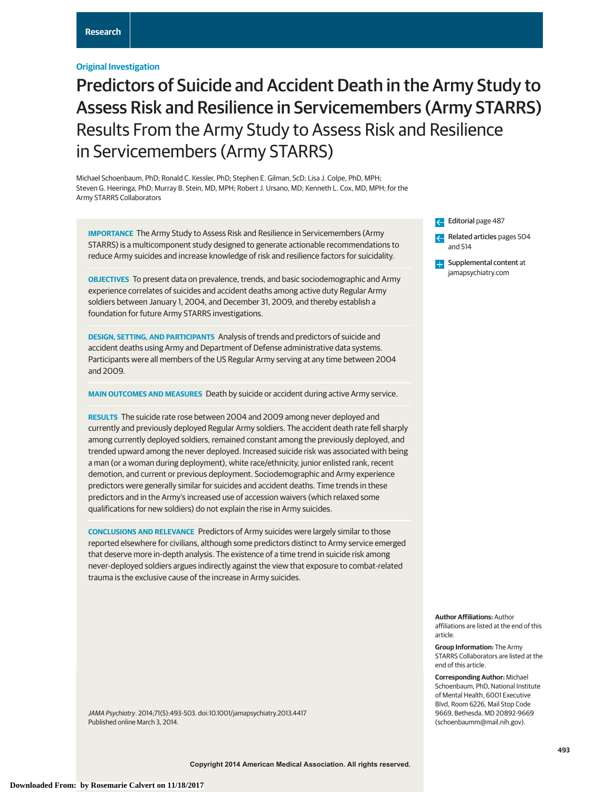# **Original Investigation**

# Predictors of Suicide and Accident Death in the Army Study to Assess Risk and Resilience in Servicemembers (Army STARRS) Results From the Army Study to Assess Risk and Resilience in Servicemembers (Army STARRS)

Michael Schoenbaum, PhD; Ronald C. Kessler, PhD; Stephen E. Gilman, ScD; Lisa J. Colpe, PhD, MPH; Steven G. Heeringa, PhD; Murray B. Stein, MD, MPH; Robert J. Ursano, MD; Kenneth L. Cox, MD, MPH; for the Army STARRS Collaborators

**IMPORTANCE** The Army Study to Assess Risk and Resilience in Servicemembers (Army STARRS) is a multicomponent study designed to generate actionable recommendations to reduce Army suicides and increase knowledge of risk and resilience factors for suicidality.

**OBJECTIVES** To present data on prevalence, trends, and basic sociodemographic and Army experience correlates of suicides and accident deaths among active duty Regular Army soldiers between January 1, 2004, and December 31, 2009, and thereby establish a foundation for future Army STARRS investigations.

**DESIGN, SETTING, AND PARTICIPANTS** Analysis of trends and predictors of suicide and accident deaths using Army and Department of Defense administrative data systems. Participants were all members of the US Regular Army serving at any time between 2004 and 2009.

**MAIN OUTCOMES AND MEASURES** Death by suicide or accident during active Army service.

**RESULTS** The suicide rate rose between 2004 and 2009 among never deployed and currently and previously deployed Regular Army soldiers. The accident death rate fell sharply among currently deployed soldiers, remained constant among the previously deployed, and trended upward among the never deployed. Increased suicide risk was associated with being a man (or a woman during deployment), white race/ethnicity, junior enlisted rank, recent demotion, and current or previous deployment. Sociodemographic and Army experience predictors were generally similar for suicides and accident deaths. Time trends in these predictors and in the Army's increased use of accession waivers (which relaxed some qualifications for new soldiers) do not explain the rise in Army suicides.

**CONCLUSIONS AND RELEVANCE** Predictors of Army suicides were largely similar to those reported elsewhere for civilians, although some predictors distinct to Army service emerged that deserve more in-depth analysis. The existence of a time trend in suicide risk among never-deployed soldiers argues indirectly against the view that exposure to combat-related trauma is the exclusive cause of the increase in Army suicides.

JAMA Psychiatry. 2014;71(5):493-503. doi:10.1001/jamapsychiatry.2013.4417 Published online March 3, 2014.

Editorial page 487 Related articles pages 504 and 514

**Supplemental content at** jamapsychiatry.com

**Author Affiliations:** Author affiliations are listed at the end of this article.

**Group Information:** The Army STARRS Collaborators are listed at the end of this article.

**Corresponding Author:** Michael Schoenbaum, PhD, National Institute of Mental Health, 6001 Executive Blvd, Room 6226, Mail Stop Code 9669, Bethesda, MD 20892-9669 (schoenbaumm@mail.nih.gov).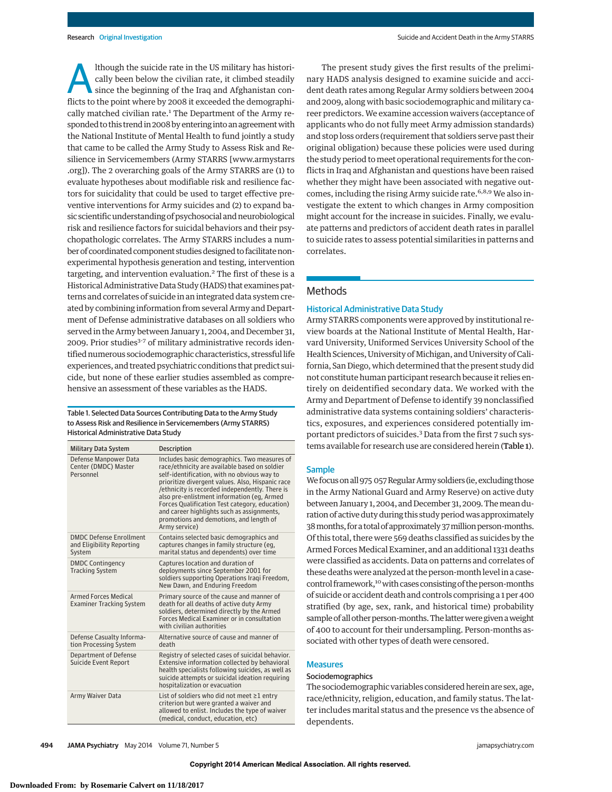Ithough the suicide rate in the US military has historically been below the civilian rate, it climbed steadily since the beginning of the Iraq and Afghanistan conflicts to the point where by 2008 it exceeded the demographically matched civilian rate.<sup>1</sup> The Department of the Army responded to this trend in 2008 by entering into an agreement with the National Institute of Mental Health to fund jointly a study that came to be called the Army Study to Assess Risk and Resilience in Servicemembers (Army STARRS [www.armystarrs .org]). The 2 overarching goals of the Army STARRS are (1) to evaluate hypotheses about modifiable risk and resilience factors for suicidality that could be used to target effective preventive interventions for Army suicides and (2) to expand basic scientific understanding of psychosocial and neurobiological risk and resilience factors for suicidal behaviors and their psychopathologic correlates. The Army STARRS includes a number of coordinated component studies designed to facilitate nonexperimental hypothesis generation and testing, intervention targeting, and intervention evaluation.<sup>2</sup> The first of these is a Historical Administrative Data Study (HADS) that examines patterns and correlates of suicide in an integrated data system created by combining information from several Army and Department of Defense administrative databases on all soldiers who served in the Army between January 1, 2004, and December 31, 2009. Prior studies<sup>3-7</sup> of military administrative records identified numerous sociodemographic characteristics, stressful life experiences, and treated psychiatric conditions that predict suicide, but none of these earlier studies assembled as comprehensive an assessment of these variables as the HADS.

## Table 1. Selected Data Sources Contributing Data to the Army Study to Assess Risk and Resilience in Servicemembers (Army STARRS) Historical Administrative Data Study

| <b>Military Data System</b>                                           | <b>Description</b>                                                                                                                                                                                                                                                                                                                                                                                                                                           |
|-----------------------------------------------------------------------|--------------------------------------------------------------------------------------------------------------------------------------------------------------------------------------------------------------------------------------------------------------------------------------------------------------------------------------------------------------------------------------------------------------------------------------------------------------|
| Defense Manpower Data<br>Center (DMDC) Master<br>Personnel            | Includes basic demographics. Two measures of<br>race/ethnicity are available based on soldier<br>self-identification, with no obvious way to<br>prioritize divergent values. Also. Hispanic race<br>/ethnicity is recorded independently. There is<br>also pre-enlistment information (eg. Armed<br>Forces Qualification Test category, education)<br>and career highlights such as assignments,<br>promotions and demotions, and length of<br>Army service) |
| <b>DMDC Defense Enrollment</b><br>and Eligibility Reporting<br>System | Contains selected basic demographics and<br>captures changes in family structure (eg.<br>marital status and dependents) over time                                                                                                                                                                                                                                                                                                                            |
| <b>DMDC Contingency</b><br><b>Tracking System</b>                     | Captures location and duration of<br>deployments since September 2001 for<br>soldiers supporting Operations Iragi Freedom,<br>New Dawn, and Enduring Freedom                                                                                                                                                                                                                                                                                                 |
| <b>Armed Forces Medical</b><br><b>Examiner Tracking System</b>        | Primary source of the cause and manner of<br>death for all deaths of active duty Army<br>soldiers, determined directly by the Armed<br>Forces Medical Examiner or in consultation<br>with civilian authorities                                                                                                                                                                                                                                               |
| Defense Casualty Informa-<br>tion Processing System                   | Alternative source of cause and manner of<br>death                                                                                                                                                                                                                                                                                                                                                                                                           |
| Department of Defense<br>Suicide Event Report                         | Registry of selected cases of suicidal behavior.<br>Extensive information collected by behavioral<br>health specialists following suicides, as well as<br>suicide attempts or suicidal ideation requiring<br>hospitalization or evacuation                                                                                                                                                                                                                   |
| Army Waiver Data                                                      | List of soldiers who did not meet ≥1 entry<br>criterion but were granted a waiver and<br>allowed to enlist. Includes the type of waiver<br>(medical, conduct, education, etc)                                                                                                                                                                                                                                                                                |

The present study gives the first results of the preliminary HADS analysis designed to examine suicide and accident death rates among Regular Army soldiers between 2004 and 2009, along with basic sociodemographic and military career predictors. We examine accession waivers (acceptance of applicants who do not fully meet Army admission standards) and stop loss orders (requirement that soldiers serve past their original obligation) because these policies were used during the study period tomeet operational requirements for the conflicts in Iraq and Afghanistan and questions have been raised whether they might have been associated with negative outcomes, including the rising Army suicide rate.<sup>6,8,9</sup> We also investigate the extent to which changes in Army composition might account for the increase in suicides. Finally, we evaluate patterns and predictors of accident death rates in parallel to suicide rates to assess potential similarities in patterns and correlates.

# **Methods**

## Historical Administrative Data Study

Army STARRS components were approved by institutional review boards at the National Institute of Mental Health, Harvard University, Uniformed Services University School of the Health Sciences, University of Michigan, and University of California, San Diego, which determined that the present study did not constitute human participant research because it relies entirely on deidentified secondary data. We worked with the Army and Department of Defense to identify 39 nonclassified administrative data systems containing soldiers' characteristics, exposures, and experiences considered potentially important predictors of suicides.<sup>3</sup> Data from the first 7 such systems available for research use are considered herein (Table 1).

#### Sample

We focus on all 975 057 Regular Army soldiers (ie, excluding those in the Army National Guard and Army Reserve) on active duty between January 1, 2004, and December 31, 2009. Themean duration of active duty during this study period was approximately 38 months, for a total of approximately 37 million person-months. Of this total, there were 569 deaths classified as suicides by the Armed Forces Medical Examiner, and an additional 1331 deaths were classified as accidents. Data on patterns and correlates of these deaths were analyzed at the person-month level in a casecontrol framework,<sup>10</sup> with cases consisting of the person-months of suicide or accident death and controls comprising a 1 per 400 stratified (by age, sex, rank, and historical time) probability sample of all other person-months. The latter were given a weight of 400 to account for their undersampling. Person-months associated with other types of death were censored.

#### **Measures**

# **Sociodemographics**

The sociodemographic variables considered herein are sex, age, race/ethnicity, religion, education, and family status. The latter includes marital status and the presence vs the absence of dependents.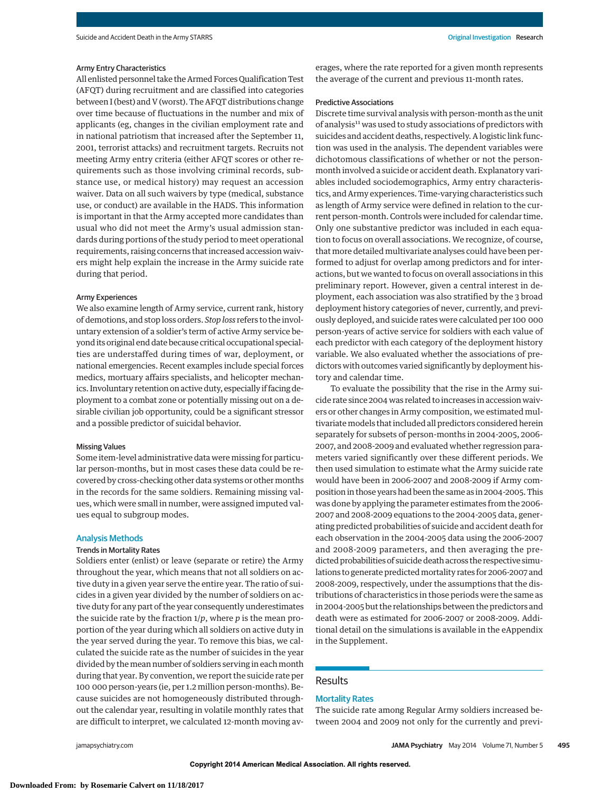#### Army Entry Characteristics

All enlisted personnel take the Armed Forces Qualification Test (AFQT) during recruitment and are classified into categories between I (best) and V (worst). The AFQT distributions change over time because of fluctuations in the number and mix of applicants (eg, changes in the civilian employment rate and in national patriotism that increased after the September 11, 2001, terrorist attacks) and recruitment targets. Recruits not meeting Army entry criteria (either AFQT scores or other requirements such as those involving criminal records, substance use, or medical history) may request an accession waiver. Data on all such waivers by type (medical, substance use, or conduct) are available in the HADS. This information is important in that the Army accepted more candidates than usual who did not meet the Army's usual admission standards during portions of the study period to meet operational requirements, raising concerns that increased accession waivers might help explain the increase in the Army suicide rate during that period.

#### Army Experiences

We also examine length of Army service, current rank, history of demotions, and stop loss orders. *Stop loss* refers to the involuntary extension of a soldier's term of active Army service beyond its original end date because critical occupational specialties are understaffed during times of war, deployment, or national emergencies. Recent examples include special forces medics, mortuary affairs specialists, and helicopter mechanics. Involuntary retention on active duty, especially if facing deployment to a combat zone or potentially missing out on a desirable civilian job opportunity, could be a significant stressor and a possible predictor of suicidal behavior.

#### Missing Values

Some item-level administrative data were missing for particular person-months, but in most cases these data could be recovered by cross-checking other data systems or other months in the records for the same soldiers. Remaining missing values, which were small in number, were assigned imputed values equal to subgroup modes.

## Analysis Methods

#### Trends in Mortality Rates

Soldiers enter (enlist) or leave (separate or retire) the Army throughout the year, which means that not all soldiers on active duty in a given year serve the entire year. The ratio of suicides in a given year divided by the number of soldiers on active duty for any part of the year consequently underestimates the suicide rate by the fraction 1/*p*, where *p* is the mean proportion of the year during which all soldiers on active duty in the year served during the year. To remove this bias, we calculated the suicide rate as the number of suicides in the year divided by the mean number of soldiers serving in each month during that year. By convention, we report the suicide rate per 100 000 person-years (ie, per 1.2 million person-months). Because suicides are not homogeneously distributed throughout the calendar year, resulting in volatile monthly rates that are difficult to interpret, we calculated 12-month moving averages, where the rate reported for a given month represents the average of the current and previous 11-month rates.

### Predictive Associations

Discrete time survival analysis with person-month as the unit of analysis<sup>11</sup> was used to study associations of predictors with suicides and accident deaths, respectively. A logistic link function was used in the analysis. The dependent variables were dichotomous classifications of whether or not the personmonth involved a suicide or accident death. Explanatory variables included sociodemographics, Army entry characteristics, and Army experiences. Time-varying characteristics such as length of Army service were defined in relation to the current person-month. Controls were included for calendar time. Only one substantive predictor was included in each equation to focus on overall associations. We recognize, of course, that more detailed multivariate analyses could have been performed to adjust for overlap among predictors and for interactions, but we wanted to focus on overall associations in this preliminary report. However, given a central interest in deployment, each association was also stratified by the 3 broad deployment history categories of never, currently, and previously deployed, and suicide rates were calculated per 100 000 person-years of active service for soldiers with each value of each predictor with each category of the deployment history variable. We also evaluated whether the associations of predictors with outcomes varied significantly by deployment history and calendar time.

To evaluate the possibility that the rise in the Army suicide rate since 2004 was related to increases in accession waivers or other changes in Army composition, we estimated multivariate models that included all predictors considered herein separately for subsets of person-months in 2004-2005, 2006- 2007, and 2008-2009 and evaluated whether regression parameters varied significantly over these different periods. We then used simulation to estimate what the Army suicide rate would have been in 2006-2007 and 2008-2009 if Army composition in those years had been the same as in 2004-2005. This was done by applying the parameter estimates from the 2006- 2007 and 2008-2009 equations to the 2004-2005 data, generating predicted probabilities of suicide and accident death for each observation in the 2004-2005 data using the 2006-2007 and 2008-2009 parameters, and then averaging the predicted probabilities of suicide death across the respective simulations to generate predicted mortality rates for 2006-2007 and 2008-2009, respectively, under the assumptions that the distributions of characteristics in those periods were the same as in 2004-2005 but the relationships between the predictors and death were as estimated for 2006-2007 or 2008-2009. Additional detail on the simulations is available in the eAppendix in the Supplement.

# **Results**

## Mortality Rates

The suicide rate among Regular Army soldiers increased between 2004 and 2009 not only for the currently and previ-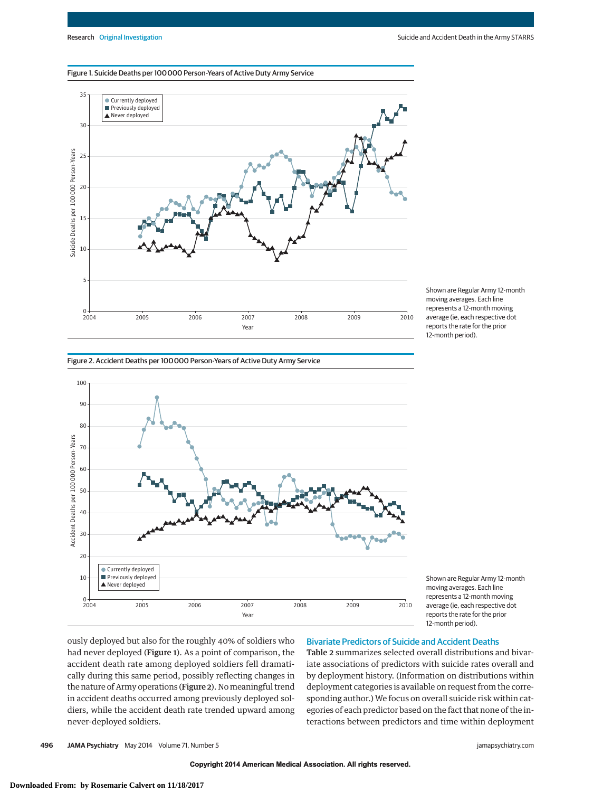### Figure 1. Suicide Deaths per 100000 Person-Years of Active Duty Army Service



Shown are Regular Army 12-month moving averages. Each line represents a 12-month moving average (ie, each respective dot reports the rate for the prior 12-month period).





moving averages. Each line represents a 12-month moving average (ie, each respective dot reports the rate for the prior 12-month period).

ously deployed but also for the roughly 40% of soldiers who had never deployed (Figure 1). As a point of comparison, the accident death rate among deployed soldiers fell dramatically during this same period, possibly reflecting changes in the nature of Army operations (Figure 2). No meaningful trend in accident deaths occurred among previously deployed soldiers, while the accident death rate trended upward among never-deployed soldiers.

# Bivariate Predictors of Suicide and Accident Deaths

Table 2 summarizes selected overall distributions and bivariate associations of predictors with suicide rates overall and by deployment history. (Information on distributions within deployment categories is available on request from the corresponding author.) We focus on overall suicide risk within categories of each predictor based on the fact that none of the interactions between predictors and time within deployment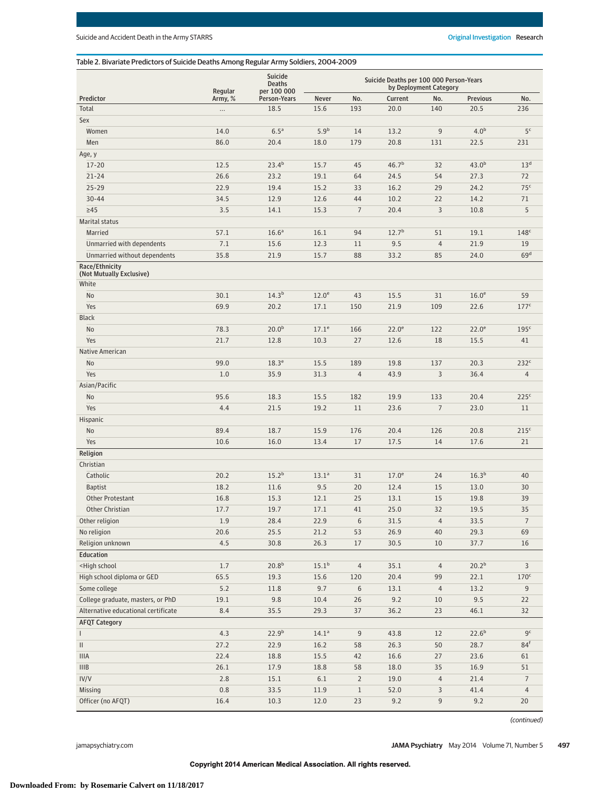# Table 2. Bivariate Predictors of Suicide Deaths Among Regular Army Soldiers, 2004-2009

|                                                                                                                                                                                                                                                           | Regular  | Suicide<br><b>Deaths</b><br>per 100 000 | Suicide Deaths per 100 000 Person-Years<br>by Deployment Category |                |                   |                |                   |                  |
|-----------------------------------------------------------------------------------------------------------------------------------------------------------------------------------------------------------------------------------------------------------|----------|-----------------------------------------|-------------------------------------------------------------------|----------------|-------------------|----------------|-------------------|------------------|
| Predictor                                                                                                                                                                                                                                                 | Army, %  | Person-Years                            | <b>Never</b>                                                      | No.            | Current           | No.            | <b>Previous</b>   | No.              |
| Total                                                                                                                                                                                                                                                     | $\cdots$ | 18.5                                    | 15.6                                                              | 193            | 20.0              | 140            | 20.5              | 236              |
| Sex                                                                                                                                                                                                                                                       |          |                                         |                                                                   |                |                   |                |                   |                  |
| Women                                                                                                                                                                                                                                                     | 14.0     | 6.5 <sup>a</sup>                        | 5.9 <sup>b</sup>                                                  | 14             | 13.2              | 9              | 4.0 <sup>b</sup>  | 5 <sup>c</sup>   |
| Men                                                                                                                                                                                                                                                       | 86.0     | 20.4                                    | 18.0                                                              | 179            | 20.8              | 131            | 22.5              | 231              |
| Age, y                                                                                                                                                                                                                                                    |          |                                         |                                                                   |                |                   |                |                   |                  |
| $17 - 20$                                                                                                                                                                                                                                                 | 12.5     | 23.4 <sup>b</sup>                       | 15.7                                                              | 45             | 46.7 <sup>b</sup> | 32             | 43.0 <sup>b</sup> | 13 <sup>d</sup>  |
| $21 - 24$                                                                                                                                                                                                                                                 | 26.6     | 23.2                                    | 19.1                                                              | 64             | 24.5              | 54             | 27.3              | 72               |
| $25 - 29$                                                                                                                                                                                                                                                 | 22.9     | 19.4                                    | 15.2                                                              | 33             | 16.2              | 29             | 24.2              | 75 <sup>c</sup>  |
| $30 - 44$                                                                                                                                                                                                                                                 | 34.5     | 12.9                                    | 12.6                                                              | 44             | 10.2              | 22             | 14.2              | 71               |
| $\geq 45$                                                                                                                                                                                                                                                 | 3.5      | 14.1                                    | 15.3                                                              | $\overline{7}$ | 20.4              | 3              | 10.8              | 5                |
| Marital status                                                                                                                                                                                                                                            |          |                                         |                                                                   |                |                   |                |                   |                  |
| <b>Married</b>                                                                                                                                                                                                                                            | 57.1     | 16.6 <sup>a</sup>                       | 16.1                                                              | 94             | 12.7 <sup>b</sup> | 51             | 19.1              | 148 <sup>c</sup> |
| Unmarried with dependents                                                                                                                                                                                                                                 | 7.1      | 15.6                                    | 12.3                                                              | 11             | 9.5               | $\overline{4}$ | 21.9              | 19               |
| Unmarried without dependents                                                                                                                                                                                                                              | 35.8     | 21.9                                    | 15.7                                                              | 88             | 33.2              | 85             | 24.0              | 69 <sup>d</sup>  |
| Race/Ethnicity                                                                                                                                                                                                                                            |          |                                         |                                                                   |                |                   |                |                   |                  |
| (Not Mutually Exclusive)<br>White                                                                                                                                                                                                                         |          |                                         |                                                                   |                |                   |                |                   |                  |
| No                                                                                                                                                                                                                                                        | 30.1     | 14.3 <sup>b</sup>                       | 12.0 <sup>e</sup>                                                 | 43             | 15.5              | 31             | 16.0 <sup>e</sup> | 59               |
| Yes                                                                                                                                                                                                                                                       | 69.9     | 20.2                                    | 17.1                                                              | 150            | 21.9              | 109            | 22.6              | 177 <sup>c</sup> |
| <b>Black</b>                                                                                                                                                                                                                                              |          |                                         |                                                                   |                |                   |                |                   |                  |
| No                                                                                                                                                                                                                                                        | 78.3     | 20.0 <sup>b</sup>                       | $17.1^e$                                                          | 166            | 22.0 <sup>e</sup> | 122            | 22.0 <sup>e</sup> | 195 <sup>c</sup> |
| Yes                                                                                                                                                                                                                                                       | 21.7     | 12.8                                    | 10.3                                                              | 27             | 12.6              | 18             | 15.5              | 41               |
| Native American                                                                                                                                                                                                                                           |          |                                         |                                                                   |                |                   |                |                   |                  |
| No                                                                                                                                                                                                                                                        | 99.0     | 18.3 <sup>e</sup>                       | 15.5                                                              | 189            | 19.8              | 137            | 20.3              | 232 <sup>c</sup> |
| Yes                                                                                                                                                                                                                                                       | 1.0      | 35.9                                    | 31.3                                                              | $\overline{4}$ | 43.9              | 3              | 36.4              | $\overline{4}$   |
| Asian/Pacific                                                                                                                                                                                                                                             |          |                                         |                                                                   |                |                   |                |                   |                  |
| No                                                                                                                                                                                                                                                        | 95.6     | 18.3                                    | 15.5                                                              | 182            | 19.9              | 133            | 20.4              | 225 <sup>c</sup> |
| Yes                                                                                                                                                                                                                                                       | 4.4      | 21.5                                    | 19.2                                                              | 11             | 23.6              | $\overline{7}$ | 23.0              | 11               |
| Hispanic                                                                                                                                                                                                                                                  |          |                                         |                                                                   |                |                   |                |                   |                  |
| No                                                                                                                                                                                                                                                        | 89.4     | 18.7                                    | 15.9                                                              | 176            | 20.4              | 126            | 20.8              | 215 <sup>c</sup> |
| Yes                                                                                                                                                                                                                                                       | 10.6     | 16.0                                    | 13.4                                                              | 17             | 17.5              | 14             | 17.6              | 21               |
| Religion                                                                                                                                                                                                                                                  |          |                                         |                                                                   |                |                   |                |                   |                  |
| Christian                                                                                                                                                                                                                                                 |          |                                         |                                                                   |                |                   |                |                   |                  |
| Catholic                                                                                                                                                                                                                                                  | 20.2     | 15.2 <sup>b</sup>                       | 13.1 <sup>a</sup>                                                 | 31             | 17.0 <sup>e</sup> | 24             | 16.3 <sup>b</sup> | 40               |
| <b>Baptist</b>                                                                                                                                                                                                                                            | 18.2     | 11.6                                    | 9.5                                                               | 20             | 12.4              | 15             | 13.0              | 30               |
| <b>Other Protestant</b>                                                                                                                                                                                                                                   | 16.8     | 15.3                                    | 12.1                                                              | 25             | 13.1              | 15             | 19.8              | 39               |
| Other Christian                                                                                                                                                                                                                                           | 17.7     | 19.7                                    | 17.1                                                              | 41             | 25.0              | 32             | 19.5              | 35               |
| Other religion                                                                                                                                                                                                                                            | 1.9      | 28.4                                    | 22.9                                                              | 6              | $31.5\,$          | $\overline{4}$ | 33.5              | $\overline{7}$   |
| No religion                                                                                                                                                                                                                                               | 20.6     | 25.5                                    | 21.2                                                              | 53             | 26.9              | 40             | 29.3              | 69               |
| Religion unknown                                                                                                                                                                                                                                          | 4.5      | 30.8                                    | 26.3                                                              | 17             | 30.5              | 10             | 37.7              | 16               |
| Education                                                                                                                                                                                                                                                 |          |                                         |                                                                   |                |                   |                |                   |                  |
| <high school<="" td=""><td><math display="inline">1.7\,</math></td><td>20.8<sup>b</sup></td><td><math>15.1^{\rm b}</math></td><td><math>\overline{4}</math></td><td>35.1</td><td><math>\overline{4}</math></td><td>20.2<sup>b</sup></td><td>3</td></high> | $1.7\,$  | 20.8 <sup>b</sup>                       | $15.1^{\rm b}$                                                    | $\overline{4}$ | 35.1              | $\overline{4}$ | 20.2 <sup>b</sup> | 3                |
| High school diploma or GED                                                                                                                                                                                                                                | 65.5     | 19.3                                    | 15.6                                                              | 120            | 20.4              | 99             | 22.1              | 170 <sup>c</sup> |
| Some college                                                                                                                                                                                                                                              | $5.2$    | 11.8                                    | 9.7                                                               | 6              | 13.1              | 4              | 13.2              | 9                |
| College graduate, masters, or PhD                                                                                                                                                                                                                         | 19.1     | $9.8\,$                                 | 10.4                                                              | 26             | 9.2               | $10\,$         | 9.5               | 22               |
| Alternative educational certificate                                                                                                                                                                                                                       | 8.4      | 35.5                                    | 29.3                                                              | 37             | 36.2              | 23             | 46.1              | 32               |
| <b>AFQT Category</b>                                                                                                                                                                                                                                      |          |                                         |                                                                   |                |                   |                |                   |                  |
| $\mathsf{L}$                                                                                                                                                                                                                                              | 4.3      | 22.9 <sup>b</sup>                       | $14.1^a$                                                          | $9\,$          | 43.8              | 12             | 22.6 <sup>b</sup> | 9 <sup>c</sup>   |
| $\mathbf{H}$                                                                                                                                                                                                                                              | 27.2     | 22.9                                    | 16.2                                                              | 58             | 26.3              | 50             | 28.7              | 84 <sup>f</sup>  |
| <b>IIIA</b>                                                                                                                                                                                                                                               | 22.4     | 18.8                                    | 15.5                                                              | 42             | 16.6              | 27             | 23.6              | 61               |
| IIIB                                                                                                                                                                                                                                                      | 26.1     | 17.9                                    | 18.8                                                              | 58             | 18.0              | 35             | 16.9              | 51               |
| IV/V                                                                                                                                                                                                                                                      | 2.8      | 15.1                                    | 6.1                                                               | $\overline{2}$ | 19.0              | 4              | 21.4              | $\overline{7}$   |
| Missing                                                                                                                                                                                                                                                   | $0.8\,$  | 33.5                                    | 11.9                                                              | $\,1\,$        | 52.0              | 3              | 41.4              | $\overline{4}$   |
| Officer (no AFQT)                                                                                                                                                                                                                                         | 16.4     | 10.3                                    | 12.0                                                              | 23             | 9.2               | 9              | 9.2               | 20               |

(continued)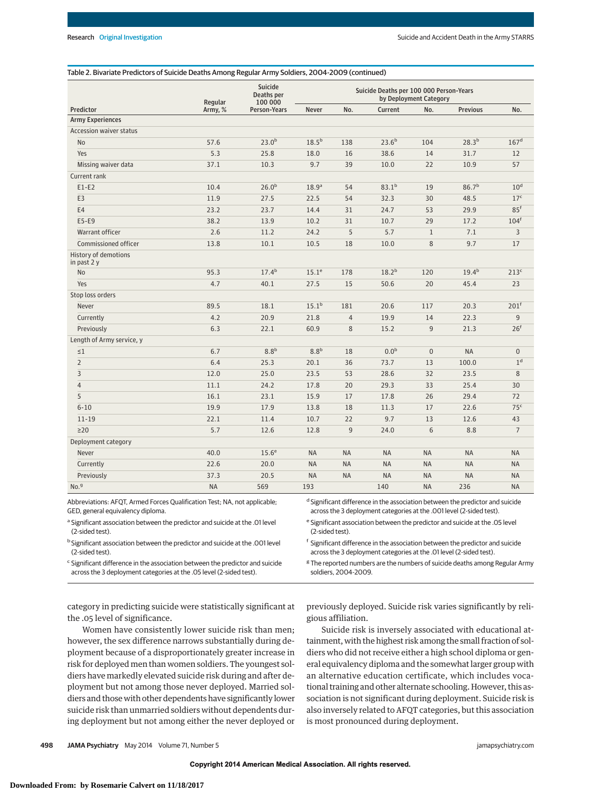#### Table 2. Bivariate Predictors of Suicide Deaths Among Regular Army Soldiers, 2004-2009 (continued)

|                                     | Regular   | <b>Suicide</b><br>Deaths per<br>100 000 | Suicide Deaths per 100 000 Person-Years<br>by Deployment Category |                |                   |              |                   |                  |  |
|-------------------------------------|-----------|-----------------------------------------|-------------------------------------------------------------------|----------------|-------------------|--------------|-------------------|------------------|--|
| Predictor                           | Army, %   | <b>Person-Years</b>                     | <b>Never</b>                                                      | No.            | Current           | No.          | <b>Previous</b>   | No.              |  |
| <b>Army Experiences</b>             |           |                                         |                                                                   |                |                   |              |                   |                  |  |
| <b>Accession waiver status</b>      |           |                                         |                                                                   |                |                   |              |                   |                  |  |
| <b>No</b>                           | 57.6      | 23.0 <sup>b</sup>                       | $18.5^{b}$                                                        | 138            | 23.6 <sup>b</sup> | 104          | 28.3 <sup>b</sup> | 167 <sup>d</sup> |  |
| Yes                                 | 5.3       | 25.8                                    | 18.0                                                              | 16             | 38.6              | 14           | 31.7              | 12               |  |
| Missing waiver data                 | 37.1      | 10.3                                    | 9.7                                                               | 39             | 10.0              | 22           | 10.9              | 57               |  |
| Current rank                        |           |                                         |                                                                   |                |                   |              |                   |                  |  |
| $E1-E2$                             | 10.4      | 26.0 <sup>b</sup>                       | 18.9 <sup>a</sup>                                                 | 54             | 83.1 <sup>b</sup> | 19           | 86.7 <sup>b</sup> | 10 <sup>d</sup>  |  |
| E <sub>3</sub>                      | 11.9      | 27.5                                    | 22.5                                                              | 54             | 32.3              | 30           | 48.5              | 17 <sup>c</sup>  |  |
| E <sub>4</sub>                      | 23.2      | 23.7                                    | 14.4                                                              | 31             | 24.7              | 53           | 29.9              | 85 <sup>f</sup>  |  |
| $E5-E9$                             | 38.2      | 13.9                                    | 10.2                                                              | 31             | 10.7              | 29           | 17.2              | 104 <sup>f</sup> |  |
| Warrant officer                     | 2.6       | 11.2                                    | 24.2                                                              | 5              | 5.7               | $\mathbf{1}$ | 7.1               | 3                |  |
| Commissioned officer                | 13.8      | 10.1                                    | 10.5                                                              | 18             | 10.0              | $8\,$        | 9.7               | 17               |  |
| History of demotions<br>in past 2 y |           |                                         |                                                                   |                |                   |              |                   |                  |  |
| No                                  | 95.3      | 17.4 <sup>b</sup>                       | 15.1 <sup>e</sup>                                                 | 178            | 18.2 <sup>b</sup> | 120          | 19.4 <sup>b</sup> | 213 <sup>c</sup> |  |
| Yes                                 | 4.7       | 40.1                                    | 27.5                                                              | 15             | 50.6              | 20           | 45.4              | 23               |  |
| Stop loss orders                    |           |                                         |                                                                   |                |                   |              |                   |                  |  |
| Never                               | 89.5      | 18.1                                    | 15.1 <sup>b</sup>                                                 | 181            | 20.6              | 117          | 20.3              | 201 <sup>f</sup> |  |
| Currently                           | 4.2       | 20.9                                    | 21.8                                                              | $\overline{4}$ | 19.9              | 14           | 22.3              | 9                |  |
| Previously                          | 6.3       | 22.1                                    | 60.9                                                              | 8              | 15.2              | $9\,$        | 21.3              | 26 <sup>f</sup>  |  |
| Length of Army service, y           |           |                                         |                                                                   |                |                   |              |                   |                  |  |
| $\leq 1$                            | 6.7       | 8.8 <sup>b</sup>                        | 8.8 <sup>b</sup>                                                  | 18             | 0.0 <sup>b</sup>  | $\mathbf{0}$ | <b>NA</b>         | $\pmb{0}$        |  |
| $\overline{2}$                      | 6.4       | 25.3                                    | 20.1                                                              | 36             | 73.7              | 13           | 100.0             | 1 <sup>d</sup>   |  |
| 3                                   | 12.0      | 25.0                                    | 23.5                                                              | 53             | 28.6              | 32           | 23.5              | $\,8\,$          |  |
| $\overline{4}$                      | 11.1      | 24.2                                    | 17.8                                                              | 20             | 29.3              | 33           | 25.4              | 30               |  |
| 5                                   | 16.1      | 23.1                                    | 15.9                                                              | 17             | 17.8              | 26           | 29.4              | 72               |  |
| $6 - 10$                            | 19.9      | 17.9                                    | 13.8                                                              | 18             | 11.3              | 17           | 22.6              | 75 <sup>c</sup>  |  |
| $11 - 19$                           | 22.1      | 11.4                                    | 10.7                                                              | 22             | 9.7               | 13           | 12.6              | 43               |  |
| $\geq$ 20                           | 5.7       | 12.6                                    | 12.8                                                              | 9              | 24.0              | 6            | 8.8               | $\overline{7}$   |  |
| Deployment category                 |           |                                         |                                                                   |                |                   |              |                   |                  |  |
| Never                               | 40.0      | 15.6 <sup>e</sup>                       | <b>NA</b>                                                         | <b>NA</b>      | <b>NA</b>         | <b>NA</b>    | <b>NA</b>         | <b>NA</b>        |  |
| Currently                           | 22.6      | 20.0                                    | <b>NA</b>                                                         | <b>NA</b>      | <b>NA</b>         | <b>NA</b>    | <b>NA</b>         | <b>NA</b>        |  |
| Previously                          | 37.3      | 20.5                                    | <b>NA</b>                                                         | <b>NA</b>      | <b>NA</b>         | <b>NA</b>    | <b>NA</b>         | <b>NA</b>        |  |
| No. <sup>9</sup>                    | <b>NA</b> | 569                                     | 193                                                               |                | 140               | <b>NA</b>    | 236               | <b>NA</b>        |  |

Abbreviations: AFQT, Armed Forces Qualification Test; NA, not applicable; GED, general equivalency diploma.

<sup>d</sup> Significant difference in the association between the predictor and suicide

a Significant association between the predictor and suicide at the .01 level (2-sided test).

<sup>b</sup> Significant association between the predictor and suicide at the .001 level (2-sided test).

 $\epsilon$  Significant difference in the association between the predictor and suicide across the 3 deployment categories at the .05 level (2-sided test).

across the 3 deployment categories at the .001 level (2-sided test). <sup>e</sup> Significant association between the predictor and suicide at the .05 level

(2-sided test).

<sup>f</sup> Significant difference in the association between the predictor and suicide across the 3 deployment categories at the .01 level (2-sided test).

 $8$  The reported numbers are the numbers of suicide deaths among Regular Army soldiers, 2004-2009.

category in predicting suicide were statistically significant at the .05 level of significance.

Women have consistently lower suicide risk than men; however, the sex difference narrows substantially during deployment because of a disproportionately greater increase in risk for deployed men than women soldiers. The youngest soldiers have markedly elevated suicide risk during and after deployment but not among those never deployed. Married soldiers and those with other dependents have significantly lower suicide risk than unmarried soldiers without dependents during deployment but not among either the never deployed or previously deployed. Suicide risk varies significantly by religious affiliation.

Suicide risk is inversely associated with educational attainment, with the highest risk among the small fraction of soldiers who did not receive either a high school diploma or general equivalency diploma and the somewhat larger group with an alternative education certificate, which includes vocational training and other alternate schooling. However, this association is not significant during deployment. Suicide risk is also inversely related to AFQT categories, but this association is most pronounced during deployment.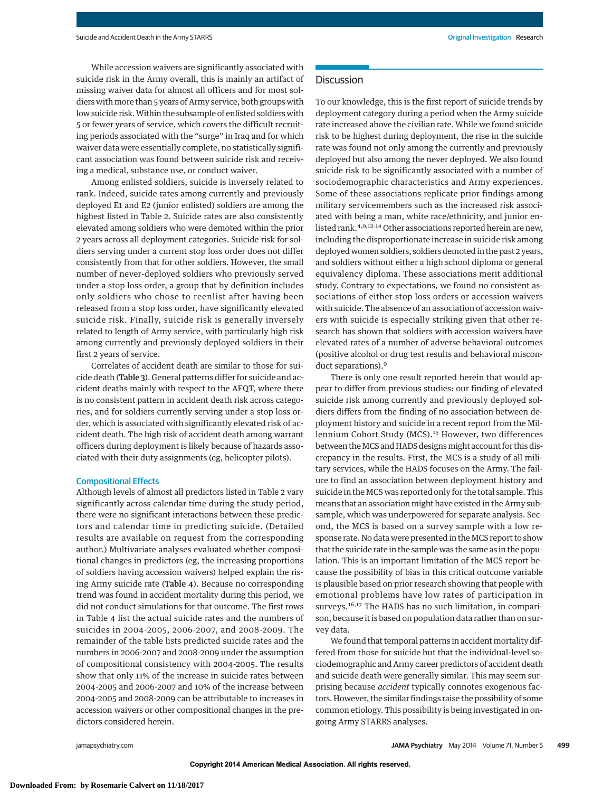While accession waivers are significantly associated with suicide risk in the Army overall, this is mainly an artifact of missing waiver data for almost all officers and for most soldiers withmore than 5 years of Army service, both groups with low suicide risk.Within the subsample of enlisted soldiers with 5 or fewer years of service, which covers the difficult recruiting periods associated with the "surge" in Iraq and for which waiver data were essentially complete, no statistically significant association was found between suicide risk and receiving a medical, substance use, or conduct waiver.

Among enlisted soldiers, suicide is inversely related to rank. Indeed, suicide rates among currently and previously deployed E1 and E2 (junior enlisted) soldiers are among the highest listed in Table 2. Suicide rates are also consistently elevated among soldiers who were demoted within the prior 2 years across all deployment categories. Suicide risk for soldiers serving under a current stop loss order does not differ consistently from that for other soldiers. However, the small number of never-deployed soldiers who previously served under a stop loss order, a group that by definition includes only soldiers who chose to reenlist after having been released from a stop loss order, have significantly elevated suicide risk. Finally, suicide risk is generally inversely related to length of Army service, with particularly high risk among currently and previously deployed soldiers in their first 2 years of service.

Correlates of accident death are similar to those for suicide death (Table 3). General patterns differ for suicide and accident deaths mainly with respect to the AFQT, where there is no consistent pattern in accident death risk across categories, and for soldiers currently serving under a stop loss order, which is associated with significantly elevated risk of accident death. The high risk of accident death among warrant officers during deployment is likely because of hazards associated with their duty assignments (eg, helicopter pilots).

#### Compositional Effects

Although levels of almost all predictors listed in Table 2 vary significantly across calendar time during the study period, there were no significant interactions between these predictors and calendar time in predicting suicide. (Detailed results are available on request from the corresponding author.) Multivariate analyses evaluated whether compositional changes in predictors (eg, the increasing proportions of soldiers having accession waivers) helped explain the rising Army suicide rate (Table 4). Because no corresponding trend was found in accident mortality during this period, we did not conduct simulations for that outcome. The first rows in Table 4 list the actual suicide rates and the numbers of suicides in 2004-2005, 2006-2007, and 2008-2009. The remainder of the table lists predicted suicide rates and the numbers in 2006-2007 and 2008-2009 under the assumption of compositional consistency with 2004-2005. The results show that only 11% of the increase in suicide rates between 2004-2005 and 2006-2007 and 10% of the increase between 2004-2005 and 2008-2009 can be attributable to increases in accession waivers or other compositional changes in the predictors considered herein.

## **Discussion**

To our knowledge, this is the first report of suicide trends by deployment category during a period when the Army suicide rate increased above the civilian rate. While we found suicide risk to be highest during deployment, the rise in the suicide rate was found not only among the currently and previously deployed but also among the never deployed. We also found suicide risk to be significantly associated with a number of sociodemographic characteristics and Army experiences. Some of these associations replicate prior findings among military servicemembers such as the increased risk associated with being a man, white race/ethnicity, and junior enlisted rank.<sup>4,9,12-14</sup> Other associations reported herein are new, including the disproportionate increase in suicide risk among deployed women soldiers, soldiers demoted in the past 2 years, and soldiers without either a high school diploma or general equivalency diploma. These associations merit additional study. Contrary to expectations, we found no consistent associations of either stop loss orders or accession waivers with suicide. The absence of an association of accession waivers with suicide is especially striking given that other research has shown that soldiers with accession waivers have elevated rates of a number of adverse behavioral outcomes (positive alcohol or drug test results and behavioral misconduct separations).<sup>9</sup>

There is only one result reported herein that would appear to differ from previous studies: our finding of elevated suicide risk among currently and previously deployed soldiers differs from the finding of no association between deployment history and suicide in a recent report from the Millennium Cohort Study (MCS).<sup>15</sup> However, two differences between the MCS and HADS designs might account for this discrepancy in the results. First, the MCS is a study of all military services, while the HADS focuses on the Army. The failure to find an association between deployment history and suicide in the MCS was reported only for the total sample. This means that an association might have existed in the Army subsample, which was underpowered for separate analysis. Second, the MCS is based on a survey sample with a low response rate. No data were presented in the MCS report to show that the suicide rate in the sample was the same as in the population. This is an important limitation of the MCS report because the possibility of bias in this critical outcome variable is plausible based on prior research showing that people with emotional problems have low rates of participation in surveys.<sup>16,17</sup> The HADS has no such limitation, in comparison, because it is based on population data rather than on survey data.

We found that temporal patterns in accident mortality differed from those for suicide but that the individual-level sociodemographic and Army career predictors of accident death and suicide death were generally similar. This may seem surprising because *accident* typically connotes exogenous factors. However, the similar findings raise the possibility of some common etiology. This possibility is being investigated in ongoing Army STARRS analyses.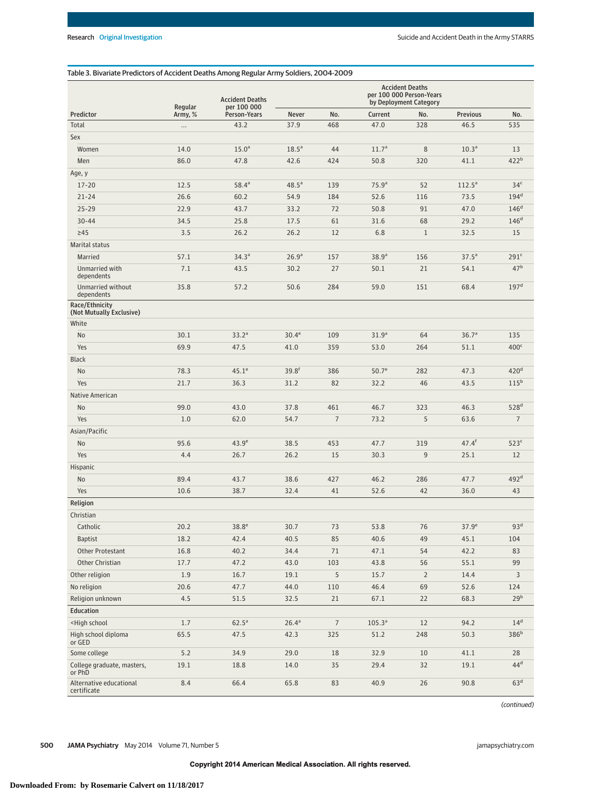# Table 3. Bivariate Predictors of Accident Deaths Among Regular Army Soldiers, 2004-2009

|                                                                                                                                                                                                                                                                                 | Regular  | <b>Accident Deaths</b><br>per 100 000 | <b>Accident Deaths</b><br>per 100 000 Person-Years<br>by Deployment Category |                |                   |                |                    |                  |
|---------------------------------------------------------------------------------------------------------------------------------------------------------------------------------------------------------------------------------------------------------------------------------|----------|---------------------------------------|------------------------------------------------------------------------------|----------------|-------------------|----------------|--------------------|------------------|
| Predictor                                                                                                                                                                                                                                                                       | Army, %  | Person-Years                          | <b>Never</b>                                                                 | No.            | Current           | No.            | <b>Previous</b>    | No.              |
| Total                                                                                                                                                                                                                                                                           | $\ldots$ | 43.2                                  | 37.9                                                                         | 468            | 47.0              | 328            | 46.5               | 535              |
| Sex                                                                                                                                                                                                                                                                             |          |                                       |                                                                              |                |                   |                |                    |                  |
| Women                                                                                                                                                                                                                                                                           | 14.0     | 15.0 <sup>a</sup>                     | $18.5^{\circ}$                                                               | 44             | 11.7 <sup>a</sup> | $\,8\,$        | 10.3 <sup>a</sup>  | 13               |
| Men                                                                                                                                                                                                                                                                             | 86.0     | 47.8                                  | 42.6                                                                         | 424            | 50.8              | 320            | 41.1               | 422 <sup>b</sup> |
| Age, y                                                                                                                                                                                                                                                                          |          |                                       |                                                                              |                |                   |                |                    |                  |
| $17 - 20$                                                                                                                                                                                                                                                                       | 12.5     | 58.4 <sup>a</sup>                     | 48.5 <sup>a</sup>                                                            | 139            | 75.9 <sup>a</sup> | 52             | 112.5 <sup>a</sup> | 34 <sup>c</sup>  |
| $21 - 24$                                                                                                                                                                                                                                                                       | 26.6     | 60.2                                  | 54.9                                                                         | 184            | 52.6              | 116            | 73.5               | 194 <sup>d</sup> |
| $25 - 29$                                                                                                                                                                                                                                                                       | 22.9     | 43.7                                  | 33.2                                                                         | 72             | 50.8              | 91             | 47.0               | 146 <sup>d</sup> |
| $30 - 44$                                                                                                                                                                                                                                                                       | 34.5     | 25.8                                  | 17.5                                                                         | 61             | 31.6              | 68             | 29.2               | 146 <sup>d</sup> |
| $\geq 45$                                                                                                                                                                                                                                                                       | 3.5      | 26.2                                  | 26.2                                                                         | 12             | 6.8               | $\mathbf{1}$   | 32.5               | 15               |
| Marital status                                                                                                                                                                                                                                                                  |          |                                       |                                                                              |                |                   |                |                    |                  |
| Married                                                                                                                                                                                                                                                                         | 57.1     | 34.3 <sup>a</sup>                     | 26.9 <sup>a</sup>                                                            | 157            | 38.9 <sup>a</sup> | 156            | 37.5 <sup>a</sup>  | 291 <sup>c</sup> |
| Unmarried with<br>dependents                                                                                                                                                                                                                                                    | 7.1      | 43.5                                  | 30.2                                                                         | 27             | 50.1              | 21             | 54.1               | 47 <sup>b</sup>  |
| Unmarried without<br>dependents                                                                                                                                                                                                                                                 | 35.8     | 57.2                                  | 50.6                                                                         | 284            | 59.0              | 151            | 68.4               | 197 <sup>d</sup> |
| Race/Ethnicity<br>(Not Mutually Exclusive)<br>White                                                                                                                                                                                                                             |          |                                       |                                                                              |                |                   |                |                    |                  |
| No                                                                                                                                                                                                                                                                              | 30.1     | 33.2 <sup>a</sup>                     | $30.4^e$                                                                     | 109            | 31.9 <sup>a</sup> | 64             | 36.7 <sup>a</sup>  | 135              |
| Yes                                                                                                                                                                                                                                                                             | 69.9     | 47.5                                  | 41.0                                                                         | 359            | 53.0              | 264            | 51.1               | 400 <sup>c</sup> |
| <b>Black</b>                                                                                                                                                                                                                                                                    |          |                                       |                                                                              |                |                   |                |                    |                  |
| No                                                                                                                                                                                                                                                                              | 78.3     | $45.1^e$                              | 39.8 <sup>f</sup>                                                            | 386            | 50.7 <sup>e</sup> | 282            | 47.3               | 420 <sup>d</sup> |
| Yes                                                                                                                                                                                                                                                                             | 21.7     | 36.3                                  | 31.2                                                                         | 82             | 32.2              | 46             | 43.5               | 115 <sup>b</sup> |
| Native American                                                                                                                                                                                                                                                                 |          |                                       |                                                                              |                |                   |                |                    |                  |
| No                                                                                                                                                                                                                                                                              | 99.0     | 43.0                                  | 37.8                                                                         | 461            | 46.7              | 323            | 46.3               | 528 <sup>d</sup> |
| Yes                                                                                                                                                                                                                                                                             | 1.0      | 62.0                                  | 54.7                                                                         | $\overline{7}$ | 73.2              | 5              | 63.6               | $\overline{7}$   |
| Asian/Pacific                                                                                                                                                                                                                                                                   |          |                                       |                                                                              |                |                   |                |                    |                  |
| No                                                                                                                                                                                                                                                                              | 95.6     | $43.9^e$                              | 38.5                                                                         | 453            | 47.7              | 319            | $47.4^{f}$         | 523 <sup>c</sup> |
| Yes                                                                                                                                                                                                                                                                             | 4.4      | 26.7                                  | 26.2                                                                         | 15             | 30.3              | 9              | 25.1               | 12               |
| Hispanic                                                                                                                                                                                                                                                                        |          |                                       |                                                                              |                |                   |                |                    |                  |
| No                                                                                                                                                                                                                                                                              | 89.4     | 43.7                                  | 38.6                                                                         | 427            | 46.2              | 286            | 47.7               | 492 <sup>d</sup> |
| Yes                                                                                                                                                                                                                                                                             | 10.6     | 38.7                                  | 32.4                                                                         | 41             | 52.6              | 42             | 36.0               | 43               |
| Religion                                                                                                                                                                                                                                                                        |          |                                       |                                                                              |                |                   |                |                    |                  |
| Christian                                                                                                                                                                                                                                                                       |          |                                       |                                                                              |                |                   |                |                    |                  |
| Catholic                                                                                                                                                                                                                                                                        | 20.2     | 38.8 <sup>e</sup>                     | 30.7                                                                         | 73             | 53.8              | 76             | 37.9 <sup>e</sup>  | 93 <sup>d</sup>  |
| <b>Baptist</b>                                                                                                                                                                                                                                                                  | 18.2     | 42.4                                  | 40.5                                                                         | 85             | 40.6              | 49             | 45.1               | 104              |
| Other Protestant                                                                                                                                                                                                                                                                | 16.8     | 40.2                                  | 34.4                                                                         | 71             | 47.1              | 54             | 42.2               | 83               |
| Other Christian                                                                                                                                                                                                                                                                 | 17.7     | 47.2                                  | 43.0                                                                         | 103            | 43.8              | 56             | 55.1               | 99               |
| Other religion                                                                                                                                                                                                                                                                  | $1.9\,$  | 16.7                                  | 19.1                                                                         | 5              | 15.7              | $\overline{2}$ | 14.4               | 3                |
| No religion                                                                                                                                                                                                                                                                     | 20.6     | 47.7                                  | 44.0                                                                         | 110            | 46.4              | 69             | 52.6               | 124              |
| Religion unknown                                                                                                                                                                                                                                                                | 4.5      | 51.5                                  | 32.5                                                                         | 21             | 67.1              | 22             | 68.3               | 29 <sup>b</sup>  |
| Education                                                                                                                                                                                                                                                                       |          |                                       |                                                                              |                |                   |                |                    |                  |
| <high school<="" td=""><td><math display="inline">1.7\,</math></td><td><math>62.5^{\circ}</math></td><td>26.4<sup>a</sup></td><td><math>\overline{7}</math></td><td><math>105.3^{a}</math></td><td>12</td><td>94.2</td><td><math display="inline">14^{\rm d}</math></td></high> | $1.7\,$  | $62.5^{\circ}$                        | 26.4 <sup>a</sup>                                                            | $\overline{7}$ | $105.3^{a}$       | 12             | 94.2               | $14^{\rm d}$     |
| High school diploma<br>or GED                                                                                                                                                                                                                                                   | 65.5     | 47.5                                  | 42.3                                                                         | 325            | 51.2              | 248            | 50.3               | 386 <sup>b</sup> |
| Some college                                                                                                                                                                                                                                                                    | $5.2$    | 34.9                                  | 29.0                                                                         | 18             | 32.9              | 10             | 41.1               | 28               |
| College graduate, masters,<br>or PhD                                                                                                                                                                                                                                            | 19.1     | 18.8                                  | 14.0                                                                         | 35             | 29.4              | 32             | 19.1               | $44^{\rm d}$     |
| Alternative educational<br>certificate                                                                                                                                                                                                                                          | 8.4      | 66.4                                  | 65.8                                                                         | 83             | 40.9              | $26\,$         | 90.8               | 63 <sup>d</sup>  |

(continued)

**500 JAMA Psychiatry** May 2014 Volume 71, Number 5 **jamapsychiatry.com** jamapsychiatry.com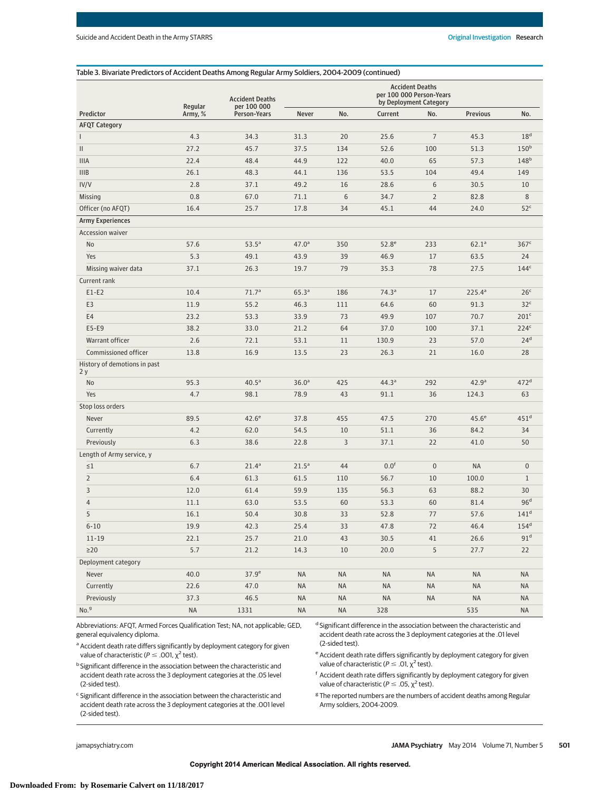## Table 3. Bivariate Predictors of Accident Deaths Among Regular Army Soldiers, 2004-2009 (continued)

|                                    | Regular  | <b>Accident Deaths</b><br>per 100 000 | <b>Accident Deaths</b><br>per 100 000 Person-Years<br>by Deployment Category |           |                   |                |                    |                  |
|------------------------------------|----------|---------------------------------------|------------------------------------------------------------------------------|-----------|-------------------|----------------|--------------------|------------------|
| Predictor                          | Army, %  | Person-Years                          | <b>Never</b>                                                                 | No.       | Current           | No.            | <b>Previous</b>    | No.              |
| <b>AFQT Category</b>               |          |                                       |                                                                              |           |                   |                |                    |                  |
| $\mathsf{I}$                       | 4.3      | 34.3                                  | 31.3                                                                         | 20        | 25.6              | $\overline{7}$ | 45.3               | 18 <sup>d</sup>  |
| $\,$ II                            | 27.2     | 45.7                                  | 37.5                                                                         | 134       | 52.6              | 100            | 51.3               | 150 <sup>b</sup> |
| <b>IIIA</b>                        | 22.4     | 48.4                                  | 44.9                                                                         | 122       | 40.0              | 65             | 57.3               | 148 <sup>b</sup> |
| <b>IIIB</b>                        | 26.1     | 48.3                                  | 44.1                                                                         | 136       | 53.5              | 104            | 49.4               | 149              |
| IV/V                               | 2.8      | 37.1                                  | 49.2                                                                         | 16        | 28.6              | 6              | 30.5               | 10               |
| <b>Missing</b>                     | 0.8      | 67.0                                  | 71.1                                                                         | 6         | 34.7              | $\overline{2}$ | 82.8               | $8\,$            |
| Officer (no AFQT)                  | 16.4     | 25.7                                  | 17.8                                                                         | 34        | 45.1              | 44             | 24.0               | 52 <sup>c</sup>  |
| <b>Army Experiences</b>            |          |                                       |                                                                              |           |                   |                |                    |                  |
| <b>Accession waiver</b>            |          |                                       |                                                                              |           |                   |                |                    |                  |
| No                                 | 57.6     | 53.5 <sup>a</sup>                     | 47.0 <sup>a</sup>                                                            | 350       | $52.8^e$          | 233            | 62.1 <sup>a</sup>  | 367 <sup>c</sup> |
| Yes                                | 5.3      | 49.1                                  | 43.9                                                                         | 39        | 46.9              | 17             | 63.5               | 24               |
| Missing waiver data                | 37.1     | 26.3                                  | 19.7                                                                         | 79        | 35.3              | 78             | 27.5               | 144 <sup>c</sup> |
| Current rank                       |          |                                       |                                                                              |           |                   |                |                    |                  |
| $E1-E2$                            | 10.4     | 71.7 <sup>a</sup>                     | 65.3 <sup>a</sup>                                                            | 186       | 74.3 <sup>a</sup> | 17             | 225.4 <sup>a</sup> | 26 <sup>c</sup>  |
| E3                                 | 11.9     | 55.2                                  | 46.3                                                                         | 111       | 64.6              | 60             | 91.3               | 32 <sup>c</sup>  |
| E4                                 | 23.2     | 53.3                                  | 33.9                                                                         | 73        | 49.9              | 107            | 70.7               | 201 <sup>c</sup> |
| $E5-E9$                            | 38.2     | 33.0                                  | 21.2                                                                         | 64        | 37.0              | 100            | 37.1               | 224 <sup>c</sup> |
| Warrant officer                    | 2.6      | 72.1                                  | 53.1                                                                         | 11        | 130.9             | 23             | 57.0               | 24 <sup>d</sup>  |
| Commissioned officer               | 13.8     | 16.9                                  | 13.5                                                                         | 23        | 26.3              | 21             | 16.0               | 28               |
| History of demotions in past<br>2y |          |                                       |                                                                              |           |                   |                |                    |                  |
| No                                 | 95.3     | 40.5 <sup>a</sup>                     | 36.0 <sup>a</sup>                                                            | 425       | 44.3 <sup>a</sup> | 292            | 42.9 <sup>a</sup>  | 472 <sup>d</sup> |
| Yes                                | 4.7      | 98.1                                  | 78.9                                                                         | 43        | 91.1              | 36             | 124.3              | 63               |
| Stop loss orders                   |          |                                       |                                                                              |           |                   |                |                    |                  |
| Never                              | 89.5     | 42.6 <sup>e</sup>                     | 37.8                                                                         | 455       | 47.5              | 270            | 45.6 <sup>e</sup>  | 451 <sup>d</sup> |
| Currently                          | 4.2      | 62.0                                  | 54.5                                                                         | 10        | 51.1              | 36             | 84.2               | 34               |
| Previously                         | 6.3      | 38.6                                  | 22.8                                                                         | 3         | 37.1              | 22             | 41.0               | 50               |
| Length of Army service, y          |          |                                       |                                                                              |           |                   |                |                    |                  |
| $\leq\!1$                          | 6.7      | 21.4 <sup>a</sup>                     | 21.5 <sup>a</sup>                                                            | 44        | 0.0 <sup>f</sup>  | $\bf 0$        | <b>NA</b>          | $\mathbf 0$      |
| $\overline{2}$                     | 6.4      | 61.3                                  | 61.5                                                                         | 110       | 56.7              | 10             | 100.0              | $\mathbf{1}$     |
| 3                                  | 12.0     | 61.4                                  | 59.9                                                                         | 135       | 56.3              | 63             | 88.2               | 30               |
| 4                                  | 11.1     | 63.0                                  | 53.5                                                                         | 60        | 53.3              | 60             | 81.4               | 96 <sup>d</sup>  |
| 5                                  | 16.1     | 50.4                                  | 30.8                                                                         | 33        | 52.8              | 77             | 57.6               | 141 <sup>d</sup> |
| $6 - 10$                           | 19.9     | 42.3                                  | 25.4                                                                         | 33        | 47.8              | 72             | 46.4               | 154 <sup>d</sup> |
| $11 - 19$                          | 22.1     | 25.7                                  | 21.0                                                                         | 43        | 30.5              | 41             | 26.6               | 91 <sup>d</sup>  |
| $\geq$ 20                          | 5.7      | 21.2                                  | 14.3                                                                         | 10        | 20.0              | 5              | 27.7               | 22               |
| Deployment category                |          |                                       |                                                                              |           |                   |                |                    |                  |
| Never                              | 40.0     | 37.9 <sup>e</sup>                     | <b>NA</b>                                                                    | <b>NA</b> | <b>NA</b>         | <b>NA</b>      | <b>NA</b>          | <b>NA</b>        |
| Currently                          | 22.6     | 47.0                                  | <b>NA</b>                                                                    | <b>NA</b> | <b>NA</b>         | $\sf NA$       | <b>NA</b>          | <b>NA</b>        |
| Previously                         | 37.3     | 46.5                                  | <b>NA</b>                                                                    | <b>NA</b> | $\sf NA$          | NA             | $\sf NA$           | <b>NA</b>        |
| No. <sup>9</sup>                   | $\sf NA$ | 1331                                  | ΝA                                                                           | <b>NA</b> | 328               |                | 535                | <b>NA</b>        |

Abbreviations: AFQT, Armed Forces Qualification Test; NA, not applicable; GED, general equivalency diploma.

a Accident death rate differs significantly by deployment category for given value of characteristic ( $P \le 0.001$ ,  $\chi^2$  test).

 $b$  Significant difference in the association between the characteristic and accident death rate across the 3 deployment categories at the .05 level (2-sided test).

<sup>c</sup> Significant difference in the association between the characteristic and accident death rate across the 3 deployment categories at the .001 level (2-sided test).

<sup>d</sup> Significant difference in the association between the characteristic and accident death rate across the 3 deployment categories at the .01 level (2-sided test).

<sup>e</sup> Accident death rate differs significantly by deployment category for given value of characteristic ( $P \le .01$ ,  $\chi^2$  test).

<sup>f</sup> Accident death rate differs significantly by deployment category for given value of characteristic ( $P \le .05$ ,  $\chi^2$  test).

<sup>g</sup> The reported numbers are the numbers of accident deaths among Regular Army soldiers, 2004-2009.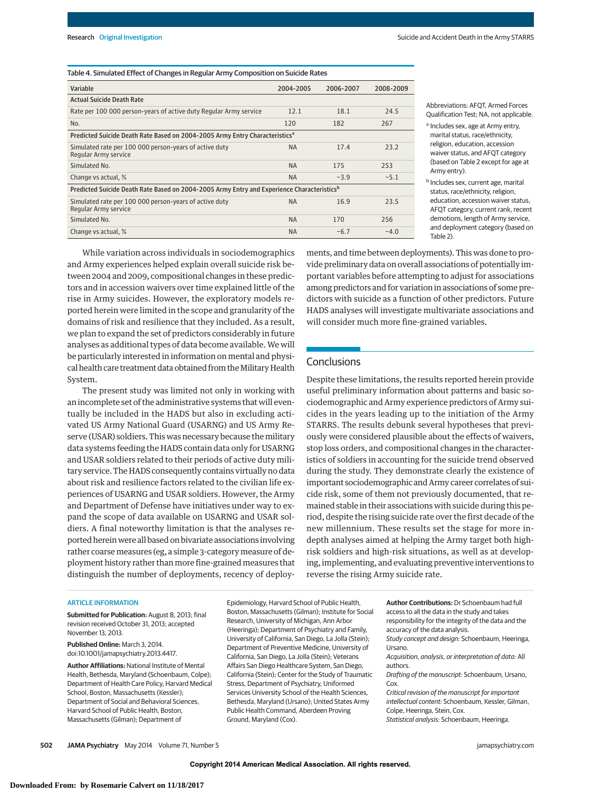## Table 4. Simulated Effect of Changes in Regular Army Composition on Suicide Rates

| Variable                                                                                               | 2004-2005 | 2006-2007 | 2008-2009 |
|--------------------------------------------------------------------------------------------------------|-----------|-----------|-----------|
| <b>Actual Suicide Death Rate</b>                                                                       |           |           |           |
| Rate per 100 000 person-years of active duty Regular Army service                                      | 12.1      | 18.1      | 24.5      |
| No.                                                                                                    | 120       | 182       | 267       |
| Predicted Suicide Death Rate Based on 2004-2005 Army Entry Characteristics <sup>a</sup>                |           |           |           |
| Simulated rate per 100 000 person-years of active duty<br>Regular Army service                         | <b>NA</b> | 17.4      | 23.2      |
| Simulated No.                                                                                          | <b>NA</b> | 175       | 253       |
| Change vs actual, %                                                                                    | <b>NA</b> | $-3.9$    | $-5.1$    |
| Predicted Suicide Death Rate Based on 2004-2005 Army Entry and Experience Characteristics <sup>b</sup> |           |           |           |
| Simulated rate per 100 000 person-years of active duty<br>Regular Army service                         | <b>NA</b> | 16.9      | 23.5      |
| Simulated No.                                                                                          | <b>NA</b> | 170       | 256       |
| Change vs actual, %                                                                                    | <b>NA</b> | $-6.7$    | $-4.0$    |

Abbreviations: AFQT, Armed Forces Qualification Test; NA, not applicable.

<sup>a</sup> Includes sex, age at Army entry, marital status, race/ethnicity, religion, education, accession waiver status, and AFQT category (based on Table 2 except for age at Army entry).

**b** Includes sex, current age, marital status, race/ethnicity, religion, education, accession waiver status, AFQT category, current rank, recent demotions, length of Army service, and deployment category (based on Table 2).

While variation across individuals in sociodemographics and Army experiences helped explain overall suicide risk between 2004 and 2009, compositional changes in these predictors and in accession waivers over time explained little of the rise in Army suicides. However, the exploratory models reported herein were limited in the scope and granularity of the domains of risk and resilience that they included. As a result, we plan to expand the set of predictors considerably in future analyses as additional types of data become available. We will be particularly interested in information on mental and physical health care treatment data obtained from the Military Health System.

The present study was limited not only in working with an incomplete set of the administrative systems that will eventually be included in the HADS but also in excluding activated US Army National Guard (USARNG) and US Army Reserve (USAR) soldiers. This was necessary because the military data systems feeding the HADS contain data only for USARNG and USAR soldiers related to their periods of active duty military service. The HADS consequently contains virtually no data about risk and resilience factors related to the civilian life experiences of USARNG and USAR soldiers. However, the Army and Department of Defense have initiatives under way to expand the scope of data available on USARNG and USAR soldiers. A final noteworthy limitation is that the analyses reported herein were all based on bivariate associations involving rather coarse measures (eg, a simple 3-category measure of deployment history rather than more fine-grained measures that distinguish the number of deployments, recency of deploy-

# ments, and time between deployments). This was done to provide preliminary data on overall associations of potentially important variables before attempting to adjust for associations among predictors and for variation in associations of some predictors with suicide as a function of other predictors. Future HADS analyses will investigate multivariate associations and will consider much more fine-grained variables.

# **Conclusions**

Despite these limitations, the results reported herein provide useful preliminary information about patterns and basic sociodemographic and Army experience predictors of Army suicides in the years leading up to the initiation of the Army STARRS. The results debunk several hypotheses that previously were considered plausible about the effects of waivers, stop loss orders, and compositional changes in the characteristics of soldiers in accounting for the suicide trend observed during the study. They demonstrate clearly the existence of important sociodemographic and Army career correlates of suicide risk, some of them not previously documented, that remained stable in their associations with suicide during this period, despite the rising suicide rate over the first decade of the new millennium. These results set the stage for more indepth analyses aimed at helping the Army target both highrisk soldiers and high-risk situations, as well as at developing, implementing, and evaluating preventive interventions to reverse the rising Army suicide rate.

#### **ARTICLE INFORMATION**

**Submitted for Publication:** August 8, 2013; final revision received October 31, 2013; accepted November 13, 2013.

**Published Online:** March 3, 2014. doi:10.1001/jamapsychiatry.2013.4417.

**Author Affiliations:** National Institute of Mental Health, Bethesda, Maryland (Schoenbaum, Colpe); Department of Health Care Policy, Harvard Medical School, Boston, Massachusetts (Kessler); Department of Social and Behavioral Sciences, Harvard School of Public Health, Boston, Massachusetts (Gilman); Department of

Epidemiology, Harvard School of Public Health, Boston, Massachusetts (Gilman); Institute for Social Research, University of Michigan, Ann Arbor (Heeringa); Department of Psychiatry and Family, University of California, San Diego, La Jolla (Stein); Department of Preventive Medicine, University of California, San Diego, La Jolla (Stein); Veterans Affairs San Diego Healthcare System, San Diego, California (Stein); Center for the Study of Traumatic Stress, Department of Psychiatry, Uniformed Services University School of the Health Sciences, Bethesda, Maryland (Ursano); United States Army Public Health Command, Aberdeen Proving Ground, Maryland (Cox).

**Author Contributions:** Dr Schoenbaum had full access to all the data in the study and takes responsibility for the integrity of the data and the accuracy of the data analysis.

Study concept and design: Schoenbaum, Heeringa, Ursano.

Acquisition, analysis, or interpretation of data: All authors.

Drafting of the manuscript: Schoenbaum, Ursano, Cox.

Critical revision of the manuscript for important intellectual content: Schoenbaum, Kessler, Gilman, Colpe, Heeringa, Stein, Cox.

Statistical analysis: Schoenbaum, Heeringa.